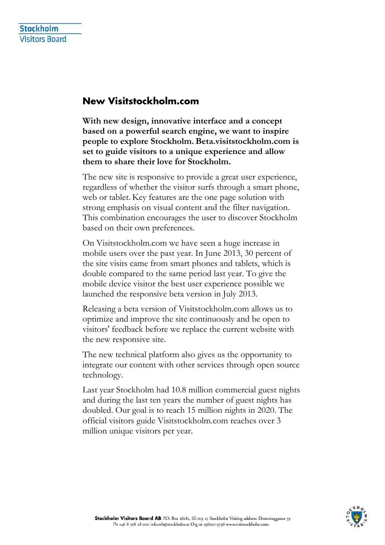## **New Visitstockholm.com**

**With new design, innovative interface and a concept based on a powerful search engine, we want to inspire people to explore Stockholm. Beta.visitstockholm.com is set to guide visitors to a unique experience and allow them to share their love for Stockholm.** 

The new site is responsive to provide a great user experience, regardless of whether the visitor surfs through a smart phone, web or tablet. Key features are the one page solution with strong emphasis on visual content and the filter navigation. This combination encourages the user to discover Stockholm based on their own preferences.

On Visitstockholm.com we have seen a huge increase in mobile users over the past year. In June 2013, 30 percent of the site visits came from smart phones and tablets, which is double compared to the same period last year. To give the mobile device visitor the best user experience possible we launched the responsive beta version in July 2013.

Releasing a beta version of Visitstockholm.com allows us to optimize and improve the site continuously and be open to visitors' feedback before we replace the current website with the new responsive site.

The new technical platform also gives us the opportunity to integrate our content with other services through open source technology.

Last year Stockholm had 10.8 million commercial guest nights and during the last ten years the number of guest nights has doubled. Our goal is to reach 15 million nights in 2020. The official visitors guide Visitstockholm.com reaches over 3 million unique visitors per year.